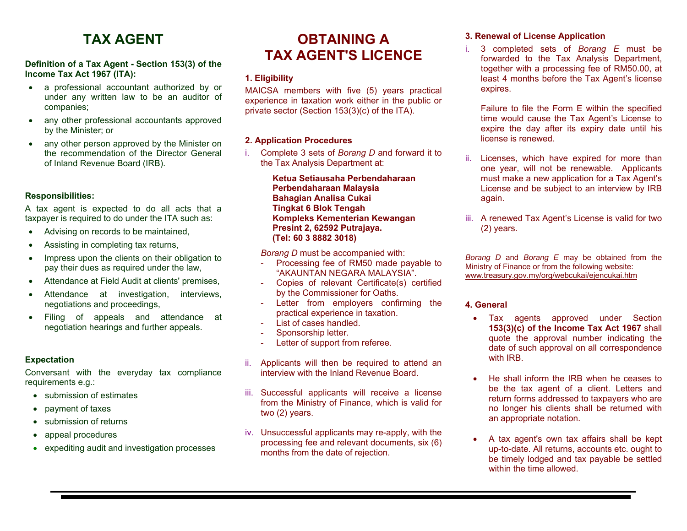# **TAX AGENT**

### **Definition of a Tax Agent - Section 153(3) of the Income Tax Act 1967 (ITA):**

- a professional accountant authorized by or under any written law to be an auditor of companies;
- any other professional accountants approved by the Minister; or
- any other person approved by the Minister on the recommendation of the Director General of Inland Revenue Board (IRB).

### **Responsibilities:**

A tax agent is expected to do all acts that a taxpayer is required to do under the ITA such as:

- Advising on records to be maintained,
- Assisting in completing tax returns,
- Impress upon the clients on their obligation to pay their dues as required under the law,
- Attendance at Field Audit at clients' premises,
- Attendance at investigation, interviews, negotiations and proceedings,
- Filing of appeals and attendance at negotiation hearings and further appeals.

#### **Expectation**

Conversant with the everyday tax compliance requirements e.g.:

- submission of estimates
- payment of taxes
- submission of returns
- appeal procedures
- expediting audit and investigation processes

## **OBTAINING A TAX AGENT'S LICENCE**

### **1. Eligibility**

MAICSA members with five (5) years practical experience in taxation work either in the public or private sector (Section 153(3)(c) of the ITA).

#### **2. Application Procedures**

i. Complete 3 sets of *Borang D* and forward it to the Tax Analysis Department at:

> **Ketua Setiausaha Perbendaharaan Perbendaharaan Malaysia Bahagian Analisa Cukai Tingkat 6 Blok Tengah Kompleks Kementerian Kewangan Presint 2, 62592 Putrajaya. (Tel: 60 3 8882 3018)**

*Borang D* must be accompanied with:

- Processing fee of RM50 made payable to "AKAUNTAN NEGARA MALAYSIA".
- Copies of relevant Certificate(s) certified by the Commissioner for Oaths.
- Letter from employers confirming the practical experience in taxation.
- List of cases handled.
- Sponsorship letter.
- Letter of support from referee.
- ii. Applicants will then be required to attend an interview with the Inland Revenue Board.
- iii. Successful applicants will receive a license from the Ministry of Finance, which is valid for two (2) years.
- iv. Unsuccessful applicants may re-apply, with the processing fee and relevant documents, six (6) months from the date of rejection.

#### **3. Renewal of License Application**

i. 3 completed sets of *Borang E* must be forwarded to the Tax Analysis Department, together with a processing fee of RM50.00, at least 4 months before the Tax Agent's license expires.

Failure to file the Form E within the specified time would cause the Tax Agent's License to expire the day after its expiry date until his license is renewed.

- ii. Licenses, which have expired for more than one year, will not be renewable. Applicants must make a new application for a Tax Agent's License and be subject to an interview by IRB again.
- iii. A renewed Tax Agent's License is valid for two (2) years.

*Borang D* and *Borang E* may be obtained from the Ministry of Finance or from the following website: www.treasury.gov.my/org/webcukai/ejencukai.htm

#### **4. General**

- Tax agents approved under Section **153(3)(c) of the Income Tax Act 1967** shall quote the approval number indicating the date of such approval on all correspondence with **IRB**
- He shall inform the IRB when he ceases to be the tax agent of a client. Letters and return forms addressed to taxpayers who are no longer his clients shall be returned with an appropriate notation.
- A tax agent's own tax affairs shall be kept up-to-date. All returns, accounts etc. ought to be timely lodged and tax payable be settled within the time allowed.